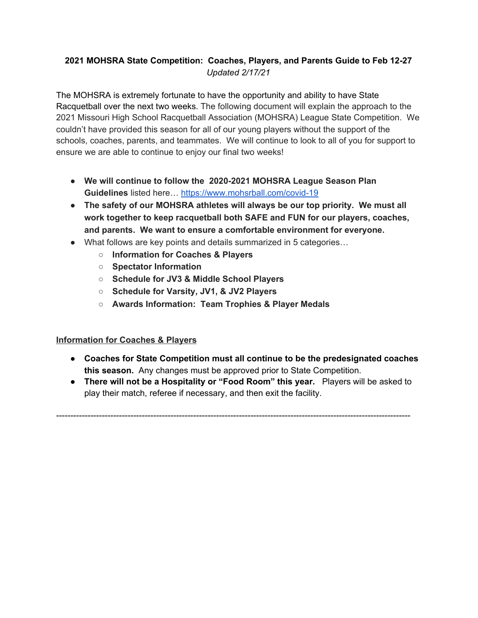# **2021 MOHSRA State Competition: Coaches, Players, and Parents Guide to Feb 12-27** *Updated 2/17/21*

The MOHSRA is extremely fortunate to have the opportunity and ability to have State Racquetball over the next two weeks. The following document will explain the approach to the 2021 Missouri High School Racquetball Association (MOHSRA) League State Competition. We couldn't have provided this season for all of our young players without the support of the schools, coaches, parents, and teammates. We will continue to look to all of you for support to ensure we are able to continue to enjoy our final two weeks!

- **We will continue to follow the 2020-2021 MOHSRA League Season Plan Guidelines** listed here… <https://www.mohsrball.com/covid-19>
- **The safety of our MOHSRA athletes will always be our top priority. We must all work together to keep racquetball both SAFE and FUN for our players, coaches, and parents. We want to ensure a comfortable environment for everyone.**
- What follows are key points and details summarized in 5 categories…
	- **○ Information for Coaches & Players**
	- **○ Spectator Information**
	- **○ Schedule for JV3 & Middle School Players**
	- **○ Schedule for Varsity, JV1, & JV2 Players**
	- **○ Awards Information: Team Trophies & Player Medals**

## **Information for Coaches & Players**

- **Coaches for State Competition must all continue to be the predesignated coaches this season.** Any changes must be approved prior to State Competition.
- **There will not be a Hospitality or "Food Room" this year.** Players will be asked to play their match, referee if necessary, and then exit the facility.

----------------------------------------------------------------------------------------------------------------------------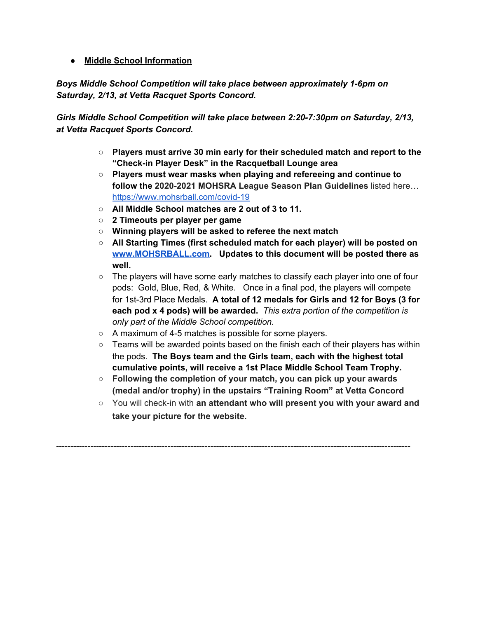## ● **Middle School Information**

*Boys Middle School Competition will take place between approximately 1-6pm on Saturday, 2/13, at Vetta Racquet Sports Concord.*

*Girls Middle School Competition will take place between 2:20-7:30pm on Saturday, 2/13, at Vetta Racquet Sports Concord.*

- **○ Players must arrive 30 min early for their scheduled match and report to the "Check-in Player Desk" in the Racquetball Lounge area**
- **Players must wear masks when playing and refereeing and continue to follow the 2020-2021 MOHSRA League Season Plan Guidelines** listed here… <https://www.mohsrball.com/covid-19>
- **○ All Middle School matches are 2 out of 3 to 11.**
- **○ 2 Timeouts per player per game**
- **○ Winning players will be asked to referee the next match**
- **○ All Starting Times (first scheduled match for each player) will be posted on [www.MOHSRBALL.com](http://www.mohsrball.com/). Updates to this document will be posted there as well.**
- $\circ$  The players will have some early matches to classify each player into one of four pods: Gold, Blue, Red, & White. Once in a final pod, the players will compete for 1st-3rd Place Medals. **A total of 12 medals for Girls and 12 for Boys (3 for each pod x 4 pods) will be awarded.** *This extra portion of the competition is only part of the Middle School competition.*
- A maximum of 4-5 matches is possible for some players.
- $\circ$  Teams will be awarded points based on the finish each of their players has within the pods. **The Boys team and the Girls team, each with the highest total cumulative points, will receive a 1st Place Middle School Team Trophy.**
- **○ Following the completion of your match, you can pick up your awards (medal and/or trophy) in the upstairs "Training Room" at Vetta Concord**

----------------------------------------------------------------------------------------------------------------------------

○ You will check-in with **an attendant who will present you with your award and take your picture for the website.**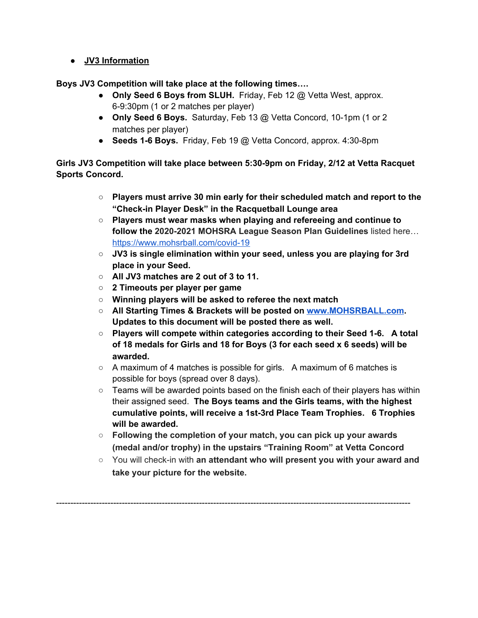## ● **JV3 Information**

**Boys JV3 Competition will take place at the following times….**

- **Only Seed 6 Boys from SLUH.** Friday, Feb 12 @ Vetta West, approx. 6-9:30pm (1 or 2 matches per player)
- **Only Seed 6 Boys.** Saturday, Feb 13 @ Vetta Concord, 10-1pm (1 or 2 matches per player)
- **● Seeds 1-6 Boys.** Friday, Feb 19 @ Vetta Concord, approx. 4:30-8pm

**Girls JV3 Competition will take place between 5:30-9pm on Friday, 2/12 at Vetta Racquet Sports Concord.**

- **○ Players must arrive 30 min early for their scheduled match and report to the "Check-in Player Desk" in the Racquetball Lounge area**
- **Players must wear masks when playing and refereeing and continue to follow the 2020-2021 MOHSRA League Season Plan Guidelines** listed here… <https://www.mohsrball.com/covid-19>
- **JV3 is single elimination within your seed, unless you are playing for 3rd place in your Seed.**
- **All JV3 matches are 2 out of 3 to 11.**
- **○ 2 Timeouts per player per game**
- **○ Winning players will be asked to referee the next match**
- **○ All Starting Times & Brackets will be posted on [www.MOHSRBALL.com.](http://www.mohsrball.com/) Updates to this document will be posted there as well.**
- **○ Players will compete within categories according to their Seed 1-6. A total of 18 medals for Girls and 18 for Boys (3 for each seed x 6 seeds) will be awarded.**
- A maximum of 4 matches is possible for girls. A maximum of 6 matches is possible for boys (spread over 8 days).
- $\circ$  Teams will be awarded points based on the finish each of their players has within their assigned seed. **The Boys teams and the Girls teams, with the highest cumulative points, will receive a 1st-3rd Place Team Trophies. 6 Trophies will be awarded.**
- **○ Following the completion of your match, you can pick up your awards (medal and/or trophy) in the upstairs "Training Room" at Vetta Concord**

----------------------------------------------------------------------------------------------------------------------------

○ You will check-in with **an attendant who will present you with your award and take your picture for the website.**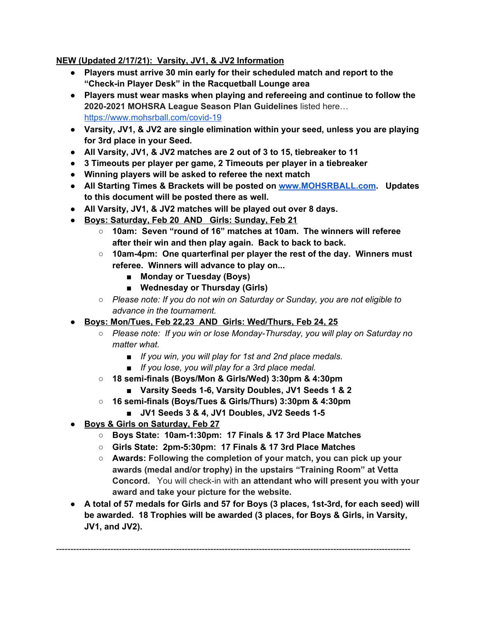## **NEW (Updated 2/17/21): Varsity, JV1, & JV2 Information**

- **● Players must arrive 30 min early for their scheduled match and report to the "Check-in Player Desk" in the Racquetball Lounge area**
- **Players must wear masks when playing and refereeing and continue to follow the 2020-2021 MOHSRA League Season Plan Guidelines** listed here… <https://www.mohsrball.com/covid-19>
- **● Varsity, JV1, & JV2 are single elimination within your seed, unless you are playing for 3rd place in your Seed.**
- **● All Varsity, JV1, & JV2 matches are 2 out of 3 to 15, tiebreaker to 11**
- **● 3 Timeouts per player per game, 2 Timeouts per player in a tiebreaker**
- **● Winning players will be asked to referee the next match**
- **● All Starting Times & Brackets will be posted on [www.MOHSRBALL.com.](http://www.mohsrball.com/) Updates to this document will be posted there as well.**
- **● All Varsity, JV1, & JV2 matches will be played out over 8 days.**
- **● Boys: Saturday, Feb 20 AND Girls: Sunday, Feb 21**
	- **○ 10am: Seven "round of 16" matches at 10am. The winners will referee after their win and then play again. Back to back to back.**
	- **○ 10am-4pm: One quarterfinal per player the rest of the day. Winners must referee. Winners will advance to play on...**
		- **■ Monday or Tuesday (Boys)**
		- **■ Wednesday or Thursday (Girls)**
	- *○ Please note: If you do not win on Saturday or Sunday, you are not eligible to advance in the tournament.*
- **● Boys: Mon/Tues, Feb 22,23 AND Girls: Wed/Thurs, Feb 24, 25**
	- *○ Please note: If you win or lose Monday-Thursday, you will play on Saturday no matter what.*
		- *■ If you win, you will play for 1st and 2nd place medals.*
		- *■ If you lose, you will play for a 3rd place medal.*
	- **○ 18 semi-finals (Boys/Mon & Girls/Wed) 3:30pm & 4:30pm**
		- **■ Varsity Seeds 1-6, Varsity Doubles, JV1 Seeds 1 & 2**
	- **○ 16 semi-finals (Boys/Tues & Girls/Thurs) 3:30pm & 4:30pm**
		- **■ JV1 Seeds 3 & 4, JV1 Doubles, JV2 Seeds 1-5**
- **● Boys & Girls on Saturday, Feb 27**
	- **○ Boys State: 10am-1:30pm: 17 Finals & 17 3rd Place Matches**
	- **○ Girls State: 2pm-5:30pm: 17 Finals & 17 3rd Place Matches**
	- **○ Awards: Following the completion of your match, you can pick up your awards (medal and/or trophy) in the upstairs "Training Room" at Vetta Concord.** You will check-in with **an attendant who will present you with your award and take your picture for the website.**
- **● A total of 57 medals for Girls and 57 for Boys (3 places, 1st-3rd, for each seed) will be awarded. 18 Trophies will be awarded (3 places, for Boys & Girls, in Varsity, JV1, and JV2).**

----------------------------------------------------------------------------------------------------------------------------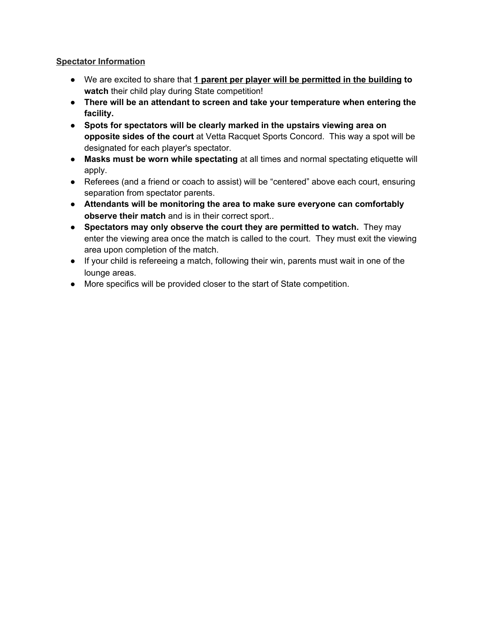#### **Spectator Information**

- We are excited to share that **1 parent per player will be permitted in the building to watch** their child play during State competition!
- **● There will be an attendant to screen and take your temperature when entering the facility.**
- **Spots for spectators will be clearly marked in the upstairs viewing area on opposite sides of the court** at Vetta Racquet Sports Concord. This way a spot will be designated for each player's spectator.
- **Masks must be worn while spectating** at all times and normal spectating etiquette will apply.
- Referees (and a friend or coach to assist) will be "centered" above each court, ensuring separation from spectator parents.
- **Attendants will be monitoring the area to make sure everyone can comfortably observe their match** and is in their correct sport..
- **Spectators may only observe the court they are permitted to watch.** They may enter the viewing area once the match is called to the court. They must exit the viewing area upon completion of the match.
- If your child is refereeing a match, following their win, parents must wait in one of the lounge areas.
- More specifics will be provided closer to the start of State competition.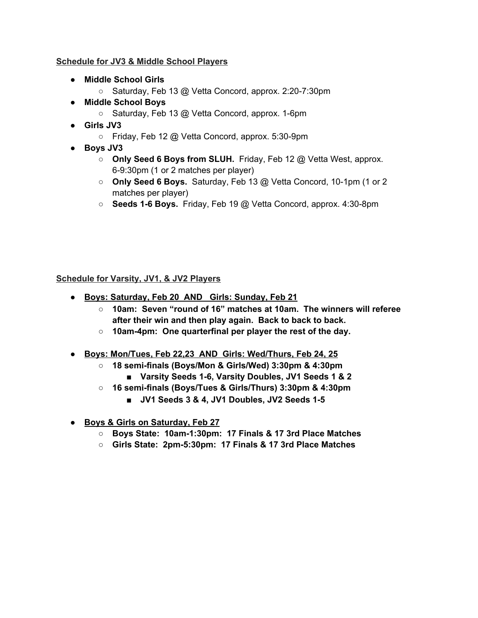#### **Schedule for JV3 & Middle School Players**

- **● Middle School Girls**
	- Saturday, Feb 13 @ Vetta Concord, approx. 2:20-7:30pm
- **● Middle School Boys**
	- Saturday, Feb 13 @ Vetta Concord, approx. 1-6pm
- **● Girls JV3**
	- Friday, Feb 12 @ Vetta Concord, approx. 5:30-9pm
- **● Boys JV3**
	- **Only Seed 6 Boys from SLUH.** Friday, Feb 12 @ Vetta West, approx. 6-9:30pm (1 or 2 matches per player)
	- **Only Seed 6 Boys.** Saturday, Feb 13 @ Vetta Concord, 10-1pm (1 or 2 matches per player)
	- **○ Seeds 1-6 Boys.** Friday, Feb 19 @ Vetta Concord, approx. 4:30-8pm

**Schedule for Varsity, JV1, & JV2 Players**

- **● Boys: Saturday, Feb 20 AND Girls: Sunday, Feb 21**
	- **○ 10am: Seven "round of 16" matches at 10am. The winners will referee after their win and then play again. Back to back to back.**
	- **○ 10am-4pm: One quarterfinal per player the rest of the day.**
- **● Boys: Mon/Tues, Feb 22,23 AND Girls: Wed/Thurs, Feb 24, 25**
	- **○ 18 semi-finals (Boys/Mon & Girls/Wed) 3:30pm & 4:30pm**
		- **■ Varsity Seeds 1-6, Varsity Doubles, JV1 Seeds 1 & 2**
	- **○ 16 semi-finals (Boys/Tues & Girls/Thurs) 3:30pm & 4:30pm**
		- **■ JV1 Seeds 3 & 4, JV1 Doubles, JV2 Seeds 1-5**
- **● Boys & Girls on Saturday, Feb 27**
	- **○ Boys State: 10am-1:30pm: 17 Finals & 17 3rd Place Matches**
	- **○ Girls State: 2pm-5:30pm: 17 Finals & 17 3rd Place Matches**